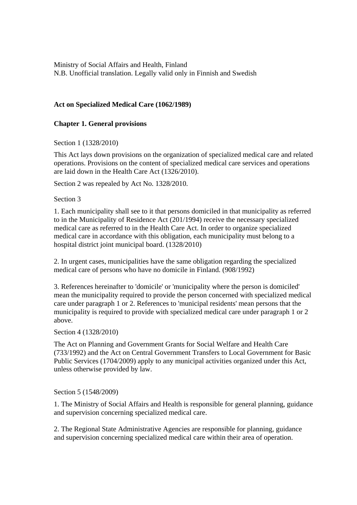Ministry of Social Affairs and Health, Finland N.B. Unofficial translation. Legally valid only in Finnish and Swedish

# **Act on Specialized Medical Care (1062/1989)**

## **Chapter 1. General provisions**

Section 1 (1328/2010)

This Act lays down provisions on the organization of specialized medical care and related operations. Provisions on the content of specialized medical care services and operations are laid down in the Health Care Act (1326/2010).

Section 2 was repealed by Act No. 1328/2010.

Section 3

1. Each municipality shall see to it that persons domiciled in that municipality as referred to in the Municipality of Residence Act (201/1994) receive the necessary specialized medical care as referred to in the Health Care Act. In order to organize specialized medical care in accordance with this obligation, each municipality must belong to a hospital district joint municipal board. (1328/2010)

2. In urgent cases, municipalities have the same obligation regarding the specialized medical care of persons who have no domicile in Finland. (908/1992)

3. References hereinafter to 'domicile' or 'municipality where the person is domiciled' mean the municipality required to provide the person concerned with specialized medical care under paragraph 1 or 2. References to 'municipal residents' mean persons that the municipality is required to provide with specialized medical care under paragraph 1 or 2 above.

Section 4 (1328/2010)

The Act on Planning and Government Grants for Social Welfare and Health Care (733/1992) and the Act on Central Government Transfers to Local Government for Basic Public Services (1704/2009) apply to any municipal activities organized under this Act, unless otherwise provided by law.

Section 5 (1548/2009)

1. The Ministry of Social Affairs and Health is responsible for general planning, guidance and supervision concerning specialized medical care.

2. The Regional State Administrative Agencies are responsible for planning, guidance and supervision concerning specialized medical care within their area of operation.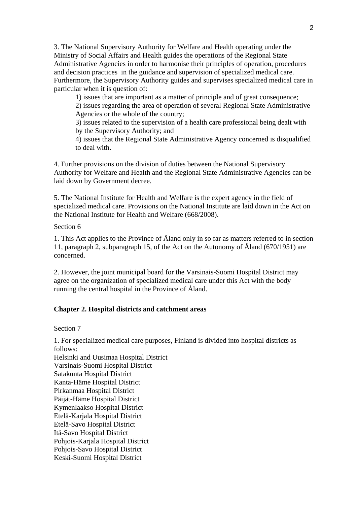3. The National Supervisory Authority for Welfare and Health operating under the Ministry of Social Affairs and Health guides the operations of the Regional State Administrative Agencies in order to harmonise their principles of operation, procedures and decision practices in the guidance and supervision of specialized medical care. Furthermore, the Supervisory Authority guides and supervises specialized medical care in particular when it is question of:

1) issues that are important as a matter of principle and of great consequence;

2) issues regarding the area of operation of several Regional State Administrative Agencies or the whole of the country;

3) issues related to the supervision of a health care professional being dealt with by the Supervisory Authority; and

4) issues that the Regional State Administrative Agency concerned is disqualified to deal with.

4. Further provisions on the division of duties between the National Supervisory Authority for Welfare and Health and the Regional State Administrative Agencies can be laid down by Government decree.

5. The National Institute for Health and Welfare is the expert agency in the field of specialized medical care. Provisions on the National Institute are laid down in the Act on the National Institute for Health and Welfare (668/2008).

Section 6

1. This Act applies to the Province of Åland only in so far as matters referred to in section 11, paragraph 2, subparagraph 15, of the Act on the Autonomy of Åland (670/1951) are concerned.

2. However, the joint municipal board for the Varsinais-Suomi Hospital District may agree on the organization of specialized medical care under this Act with the body running the central hospital in the Province of Åland.

### **Chapter 2. Hospital districts and catchment areas**

Section 7

1. For specialized medical care purposes, Finland is divided into hospital districts as follows:

Helsinki and Uusimaa Hospital District Varsinais-Suomi Hospital District Satakunta Hospital District Kanta-Häme Hospital District Pirkanmaa Hospital District Päijät-Häme Hospital District Kymenlaakso Hospital District Etelä-Karjala Hospital District Etelä-Savo Hospital District Itä-Savo Hospital District Pohjois-Karjala Hospital District Pohjois-Savo Hospital District Keski-Suomi Hospital District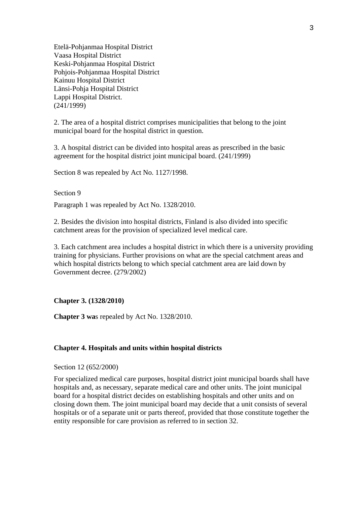Etelä-Pohjanmaa Hospital District Vaasa Hospital District Keski-Pohjanmaa Hospital District Pohjois-Pohjanmaa Hospital District Kainuu Hospital District Länsi-Pohja Hospital District Lappi Hospital District. (241/1999)

2. The area of a hospital district comprises municipalities that belong to the joint municipal board for the hospital district in question.

3. A hospital district can be divided into hospital areas as prescribed in the basic agreement for the hospital district joint municipal board. (241/1999)

Section 8 was repealed by Act No. 1127/1998.

### Section 9

Paragraph 1 was repealed by Act No. 1328/2010.

2. Besides the division into hospital districts, Finland is also divided into specific catchment areas for the provision of specialized level medical care.

3. Each catchment area includes a hospital district in which there is a university providing training for physicians. Further provisions on what are the special catchment areas and which hospital districts belong to which special catchment area are laid down by Government decree. (279/2002)

### **Chapter 3. (1328/2010)**

**Chapter 3 wa**s repealed by Act No. 1328/2010.

### **Chapter 4. Hospitals and units within hospital districts**

Section 12 (652/2000)

For specialized medical care purposes, hospital district joint municipal boards shall have hospitals and, as necessary, separate medical care and other units. The joint municipal board for a hospital district decides on establishing hospitals and other units and on closing down them. The joint municipal board may decide that a unit consists of several hospitals or of a separate unit or parts thereof, provided that those constitute together the entity responsible for care provision as referred to in section 32.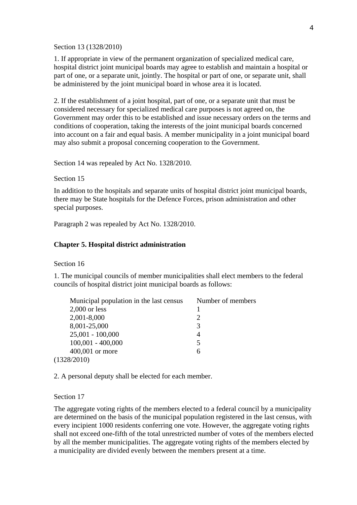Section 13 (1328/2010)

1. If appropriate in view of the permanent organization of specialized medical care, hospital district joint municipal boards may agree to establish and maintain a hospital or part of one, or a separate unit, jointly. The hospital or part of one, or separate unit, shall be administered by the joint municipal board in whose area it is located.

2. If the establishment of a joint hospital, part of one, or a separate unit that must be considered necessary for specialized medical care purposes is not agreed on, the Government may order this to be established and issue necessary orders on the terms and conditions of cooperation, taking the interests of the joint municipal boards concerned into account on a fair and equal basis. A member municipality in a joint municipal board may also submit a proposal concerning cooperation to the Government.

Section 14 was repealed by Act No. 1328/2010.

#### Section 15

In addition to the hospitals and separate units of hospital district joint municipal boards, there may be State hospitals for the Defence Forces, prison administration and other special purposes.

Paragraph 2 was repealed by Act No. 1328/2010.

### **Chapter 5. Hospital district administration**

Section 16

1. The municipal councils of member municipalities shall elect members to the federal councils of hospital district joint municipal boards as follows:

| Municipal population in the last census | Number of members |
|-----------------------------------------|-------------------|
| $2,000$ or less                         |                   |
| 2,001-8,000                             | $\mathcal{D}$     |
| 8,001-25,000                            | 3                 |
| $25,001 - 100,000$                      | 4                 |
| $100,001 - 400,000$                     |                   |
| 400,001 or more                         | 6                 |
| (1328/2010)                             |                   |

2. A personal deputy shall be elected for each member.

Section 17

The aggregate voting rights of the members elected to a federal council by a municipality are determined on the basis of the municipal population registered in the last census, with every incipient 1000 residents conferring one vote. However, the aggregate voting rights shall not exceed one-fifth of the total unrestricted number of votes of the members elected by all the member municipalities. The aggregate voting rights of the members elected by a municipality are divided evenly between the members present at a time.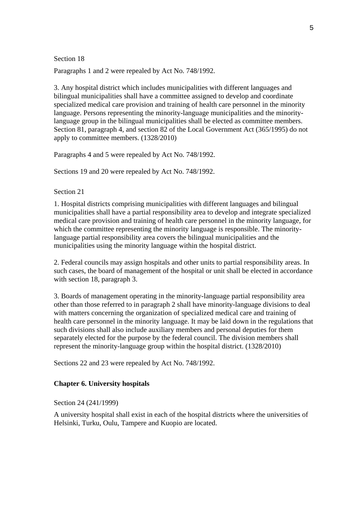#### Section 18

Paragraphs 1 and 2 were repealed by Act No. 748/1992.

3. Any hospital district which includes municipalities with different languages and bilingual municipalities shall have a committee assigned to develop and coordinate specialized medical care provision and training of health care personnel in the minority language. Persons representing the minority-language municipalities and the minoritylanguage group in the bilingual municipalities shall be elected as committee members. Section 81, paragraph 4, and section 82 of the Local Government Act (365/1995) do not apply to committee members. (1328/2010)

Paragraphs 4 and 5 were repealed by Act No. 748/1992.

Sections 19 and 20 were repealed by Act No. 748/1992.

Section 21

1. Hospital districts comprising municipalities with different languages and bilingual municipalities shall have a partial responsibility area to develop and integrate specialized medical care provision and training of health care personnel in the minority language, for which the committee representing the minority language is responsible. The minoritylanguage partial responsibility area covers the bilingual municipalities and the municipalities using the minority language within the hospital district.

2. Federal councils may assign hospitals and other units to partial responsibility areas. In such cases, the board of management of the hospital or unit shall be elected in accordance with section 18, paragraph 3.

3. Boards of management operating in the minority-language partial responsibility area other than those referred to in paragraph 2 shall have minority-language divisions to deal with matters concerning the organization of specialized medical care and training of health care personnel in the minority language. It may be laid down in the regulations that such divisions shall also include auxiliary members and personal deputies for them separately elected for the purpose by the federal council. The division members shall represent the minority-language group within the hospital district. (1328/2010)

Sections 22 and 23 were repealed by Act No. 748/1992.

## **Chapter 6. University hospitals**

Section 24 (241/1999)

A university hospital shall exist in each of the hospital districts where the universities of Helsinki, Turku, Oulu, Tampere and Kuopio are located.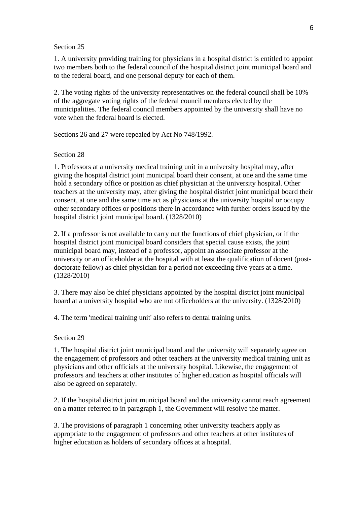#### Section 25

1. A university providing training for physicians in a hospital district is entitled to appoint two members both to the federal council of the hospital district joint municipal board and to the federal board, and one personal deputy for each of them.

2. The voting rights of the university representatives on the federal council shall be 10% of the aggregate voting rights of the federal council members elected by the municipalities. The federal council members appointed by the university shall have no vote when the federal board is elected.

Sections 26 and 27 were repealed by Act No 748/1992.

## Section 28

1. Professors at a university medical training unit in a university hospital may, after giving the hospital district joint municipal board their consent, at one and the same time hold a secondary office or position as chief physician at the university hospital. Other teachers at the university may, after giving the hospital district joint municipal board their consent, at one and the same time act as physicians at the university hospital or occupy other secondary offices or positions there in accordance with further orders issued by the hospital district joint municipal board. (1328/2010)

2. If a professor is not available to carry out the functions of chief physician, or if the hospital district joint municipal board considers that special cause exists, the joint municipal board may, instead of a professor, appoint an associate professor at the university or an officeholder at the hospital with at least the qualification of docent (postdoctorate fellow) as chief physician for a period not exceeding five years at a time. (1328/2010)

3. There may also be chief physicians appointed by the hospital district joint municipal board at a university hospital who are not officeholders at the university. (1328/2010)

4. The term 'medical training unit' also refers to dental training units.

## Section 29

1. The hospital district joint municipal board and the university will separately agree on the engagement of professors and other teachers at the university medical training unit as physicians and other officials at the university hospital. Likewise, the engagement of professors and teachers at other institutes of higher education as hospital officials will also be agreed on separately.

2. If the hospital district joint municipal board and the university cannot reach agreement on a matter referred to in paragraph 1, the Government will resolve the matter.

3. The provisions of paragraph 1 concerning other university teachers apply as appropriate to the engagement of professors and other teachers at other institutes of higher education as holders of secondary offices at a hospital.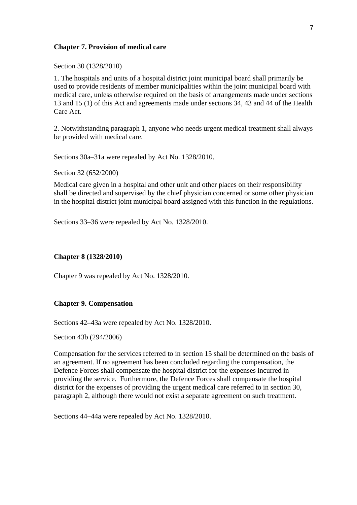### **Chapter 7. Provision of medical care**

Section 30 (1328/2010)

1. The hospitals and units of a hospital district joint municipal board shall primarily be used to provide residents of member municipalities within the joint municipal board with medical care, unless otherwise required on the basis of arrangements made under sections 13 and 15 (1) of this Act and agreements made under sections 34, 43 and 44 of the Health Care Act.

2. Notwithstanding paragraph 1, anyone who needs urgent medical treatment shall always be provided with medical care.

Sections 30a–31a were repealed by Act No. 1328/2010.

Section 32 (652/2000)

Medical care given in a hospital and other unit and other places on their responsibility shall be directed and supervised by the chief physician concerned or some other physician in the hospital district joint municipal board assigned with this function in the regulations.

Sections 33–36 were repealed by Act No. 1328/2010.

### **Chapter 8 (1328/2010)**

Chapter 9 was repealed by Act No. 1328/2010.

### **Chapter 9. Compensation**

Sections 42–43a were repealed by Act No. 1328/2010.

Section 43b (294/2006)

Compensation for the services referred to in section 15 shall be determined on the basis of an agreement. If no agreement has been concluded regarding the compensation, the Defence Forces shall compensate the hospital district for the expenses incurred in providing the service. Furthermore, the Defence Forces shall compensate the hospital district for the expenses of providing the urgent medical care referred to in section 30, paragraph 2, although there would not exist a separate agreement on such treatment.

Sections 44–44a were repealed by Act No. 1328/2010.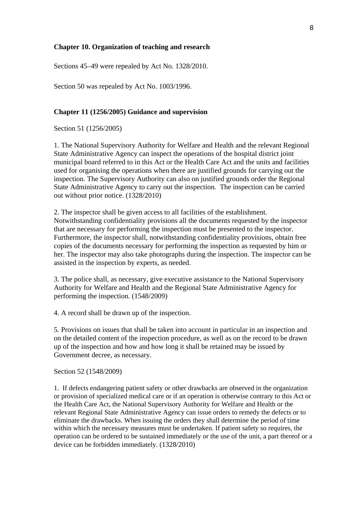### **Chapter 10. Organization of teaching and research**

Sections 45–49 were repealed by Act No. 1328/2010.

Section 50 was repealed by Act No. 1003/1996.

### **Chapter 11 (1256/2005) Guidance and supervision**

Section 51 (1256/2005)

1. The National Supervisory Authority for Welfare and Health and the relevant Regional State Administrative Agency can inspect the operations of the hospital district joint municipal board referred to in this Act or the Health Care Act and the units and facilities used for organising the operations when there are justified grounds for carrying out the inspection. The Supervisory Authority can also on justified grounds order the Regional State Administrative Agency to carry out the inspection. The inspection can be carried out without prior notice. (1328/2010)

2. The inspector shall be given access to all facilities of the establishment. Notwithstanding confidentiality provisions all the documents requested by the inspector that are necessary for performing the inspection must be presented to the inspector. Furthermore, the inspector shall, notwithstanding confidentiality provisions, obtain free copies of the documents necessary for performing the inspection as requested by him or her. The inspector may also take photographs during the inspection. The inspector can be assisted in the inspection by experts, as needed.

3. The police shall, as necessary, give executive assistance to the National Supervisory Authority for Welfare and Health and the Regional State Administrative Agency for performing the inspection. (1548/2009)

4. A record shall be drawn up of the inspection.

5. Provisions on issues that shall be taken into account in particular in an inspection and on the detailed content of the inspection procedure, as well as on the record to be drawn up of the inspection and how and how long it shall be retained may be issued by Government decree, as necessary.

Section 52 (1548/2009)

1. If defects endangering patient safety or other drawbacks are observed in the organization or provision of specialized medical care or if an operation is otherwise contrary to this Act or the Health Care Act, the National Supervisory Authority for Welfare and Health or the relevant Regional State Administrative Agency can issue orders to remedy the defects or to eliminate the drawbacks. When issuing the orders they shall determine the period of time within which the necessary measures must be undertaken. If patient safety so requires, the operation can be ordered to be sustained immediately or the use of the unit, a part thereof or a device can be forbidden immediately. (1328/2010)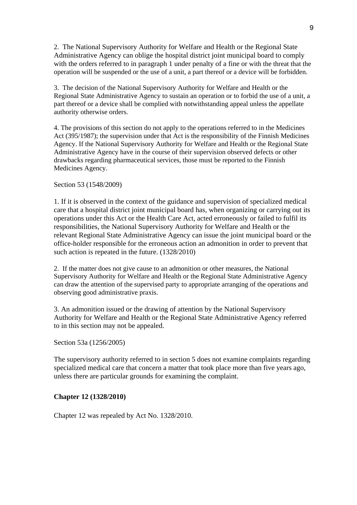2. The National Supervisory Authority for Welfare and Health or the Regional State Administrative Agency can oblige the hospital district joint municipal board to comply with the orders referred to in paragraph 1 under penalty of a fine or with the threat that the operation will be suspended or the use of a unit, a part thereof or a device will be forbidden.

3. The decision of the National Supervisory Authority for Welfare and Health or the Regional State Administrative Agency to sustain an operation or to forbid the use of a unit, a part thereof or a device shall be complied with notwithstanding appeal unless the appellate authority otherwise orders.

4. The provisions of this section do not apply to the operations referred to in the Medicines Act (395/1987); the supervision under that Act is the responsibility of the Finnish Medicines Agency. If the National Supervisory Authority for Welfare and Health or the Regional State Administrative Agency have in the course of their supervision observed defects or other drawbacks regarding pharmaceutical services, those must be reported to the Finnish Medicines Agency.

Section 53 (1548/2009)

1. If it is observed in the context of the guidance and supervision of specialized medical care that a hospital district joint municipal board has, when organizing or carrying out its operations under this Act or the Health Care Act, acted erroneously or failed to fulfil its responsibilities, the National Supervisory Authority for Welfare and Health or the relevant Regional State Administrative Agency can issue the joint municipal board or the office-holder responsible for the erroneous action an admonition in order to prevent that such action is repeated in the future. (1328/2010)

2. If the matter does not give cause to an admonition or other measures, the National Supervisory Authority for Welfare and Health or the Regional State Administrative Agency can draw the attention of the supervised party to appropriate arranging of the operations and observing good administrative praxis.

3. An admonition issued or the drawing of attention by the National Supervisory Authority for Welfare and Health or the Regional State Administrative Agency referred to in this section may not be appealed.

Section 53a (1256/2005)

The supervisory authority referred to in section 5 does not examine complaints regarding specialized medical care that concern a matter that took place more than five years ago, unless there are particular grounds for examining the complaint.

### **Chapter 12 (1328/2010)**

Chapter 12 was repealed by Act No. 1328/2010.